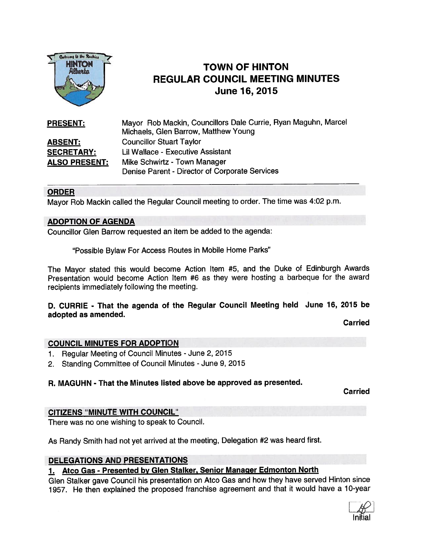

# TOWN OF HINTON REGULAR COUNCIL MEETING MINUTES June 16, 2015

| <b>PRESENT:</b>      | Mayor Rob Mackin, Councillors Dale Currie, Ryan Maguhn, Marcel<br>Michaels, Glen Barrow, Matthew Young |
|----------------------|--------------------------------------------------------------------------------------------------------|
| <b>ABSENT:</b>       | <b>Councillor Stuart Taylor</b>                                                                        |
| <b>SECRETARY:</b>    | Lil Wallace - Executive Assistant                                                                      |
| <b>ALSO PRESENT:</b> | Mike Schwirtz - Town Manager                                                                           |
|                      | Denise Parent - Director of Corporate Services                                                         |

### ORDER

Mayor Rob Mackin called the Regular Council meeting to order. The time was 4:02 p.m.

#### ADOPTION OF AGENDA

Councillor Glen Barrow requested an item be added to the agenda:

"Possible Bylaw For Access Routes in Mobile Home Parks"

The Mayor stated this would become Action Item #5, and the Duke of Edinburgh Awards Presentation would become Action Item #6 as they were hosting <sup>a</sup> barbeque for the award recipients immediately following the meeting.

### D. CURRIE - That the agenda of the Regular Council Meeting held June 16, 2015 be adopted as amended.

Carried

#### COUNCIL MINUTES FOR ADOPTION

- 1. Regular Meeting of Council Minutes June 2, 2015
- 2. Standing Committee of Council Minutes June 9, 2015

#### R. MAGUHN - That the Minutes listed above be approved as presented.

**Carried** 

### CITIZENS "MINUTE WITH COUNCIL"

There was no one wishing to speak to Council.

As Randy Smith had not ye<sup>t</sup> arrived at the meeting, Delegation #2 was heard first.

#### DELEGATiONS AND PRESENTATIONS

### 1. Atco Gas - Presented by Glen Stalker, Senior Manager Edmonton North

Glen Stalker gave Council his presentation on Atco Gas and how they have served Hinton since 1957. He then explained the propose<sup>d</sup> franchise agreemen<sup>t</sup> and that it would have <sup>a</sup> 10-year

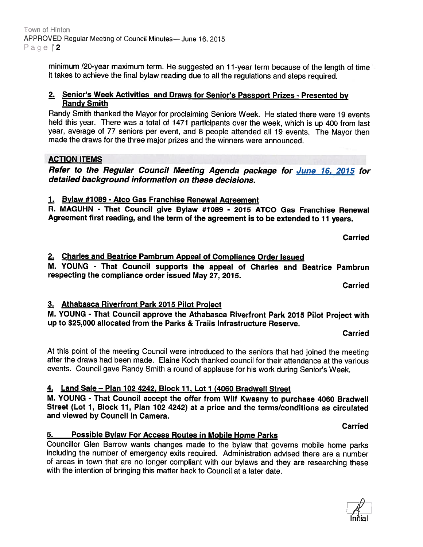minimum /20-year maximum term. He suggested an <sup>1</sup> 1-year term because of the length of time it takes to achieve the final bylaw reading due to all the regulations and steps required.

### 2. Senior's Week Activities and Draws for Senior's Passport Prizes - Presented by Randy Smith

Randy Smith thanked the Mayor for proclaiming Seniors Week. He stated there were 19 events held this year. There was <sup>a</sup> total of <sup>1471</sup> participants over the week, which is up <sup>400</sup> from last year, average of <sup>77</sup> seniors per event, and <sup>8</sup> people attended all <sup>19</sup> events. The Mayor then made the draws for the three major prizes and the winners were announced.

# ACTION ITEMS

Refer to the Regular Council Meeting Agenda package for June 16, 2015 for detailed background information on these decisions.

1. Bylaw #1089 - Atco Gas Franchise Renewal Agreement

R. MAGUHN - That Council give Bylaw #1089 - 2015 ATCO Gas Franchise Renewal Agreement first reading, and the term of the agreemen<sup>t</sup> is to be extended to <sup>11</sup> years.

Carried

### 2. Charles and Beatrice Pambrum Appeal of Compliance Order Issued

M. YOUNG - That Council supports the appea<sup>l</sup> of Charles and Beatrice Pambrun respecting the compliance order issued May 27, 2015.

Carried

# 3. Athabasca Riverfront Park 2015 Pilot Proiect

M. YOUNG - That Council approve the Athabasca Riverfront Park <sup>2015</sup> Pilot Project with up to \$25,000 allocated from the Parks & Trails Infrastructure Reserve.

Carried

At this point of the meeting Council were introduced to the seniors that had joined the meeting after the draws had been made. Elaine Koch thanked council for their attendance at the various events. Council gave Randy Smith <sup>a</sup> round of applause for his work during Senior's Week.

### 4. Land Sale — Plan <sup>102</sup> 4242, Block 17, Lot <sup>7</sup> (4060 Bradwell Street

M. YOUNG - That Council accep<sup>t</sup> the offer from Wilf Kwasny to purchase <sup>4060</sup> Bradwell Street (Lot 1, Block 11, Plan 102 4242) at a price and the terms/conditions as circulated and viewed by Council in Camera.

### Possible Bylaw For Access Routes in Mobile Home Parks

Councillor Glen Barrow wants changes made to the bylaw that governs mobile home parks including the number of emergency exits required. Administration advised there are <sup>a</sup> number of areas in town that are no longer compliant with our bylaws and they are researching these with the intention of bringing this matter back to Council at <sup>a</sup> later date.

Carried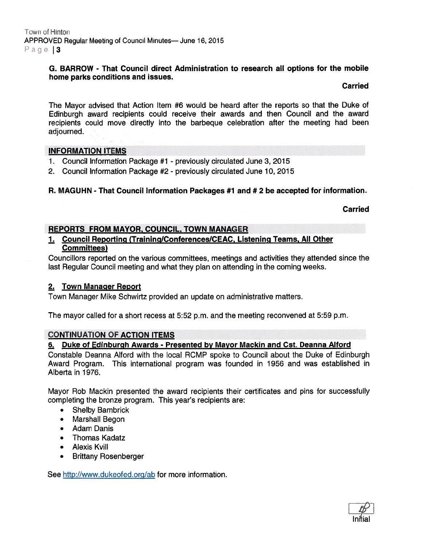#### G. BARROW - That Council direct Administration to research all options for the mobile home parks conditions and issues.

#### Carried

The Mayor advised that Action Item #6 would be heard after the reports so that the Duke of Edinburqh award recipients could receive their awards and then Council and the award recipients could move directly into the barbeque celebration after the meeting had been adjourned.

### INFORMATION ITEMS

- 1. Council Information Package #1 previously circulated June 3, 2015
- 2. Council Information Package #2 previously circulated June 10, 2015

### R. MAGUHN - That Council Information Packages #7 and # 2 be accepted for information.

Carried

### REPORTS FROM MAYOR. COUNCIL, TOWN MANAGER

1. Council Reporting (Training/Conferences/CEAC, Listening Teams, All Other Committees)

Councillors reported on the various committees, meetings and activities they attended since the last Regular Council meeting and what they plan on attending in the coming weeks.

### 2. Town Manager Report

Town Manager Mike Schwirtz provided an update on administrative matters.

The mayor called for <sup>a</sup> short recess at 5:52 p.m. and the meeting reconvened at 5:59 p.m.

#### CONTINUATION OF ACTION ITEMS

### 6. Duke of Edinburgh Awards - Presented by Mayor Mackin and Cst. Deanna Alford

Constable Deanna Alford with the local ROMP spoke to Council about the Duke of Edinburgh Award Program. This international program was founded in 1956 and was established in Alberta in 1976.

Mayor Rob Mackin presented the award recipients their certificates and pins for successfully completing the bronze program. This year's recipients are:

- $\bullet$ Shelby Bambrick
- Marshall Begon
- Adam Danis
- •Thomas Kadatz
- Alexis Kvill
- •Brittany Rosenberger

See http://www.dukeofed.org/ab for more information.